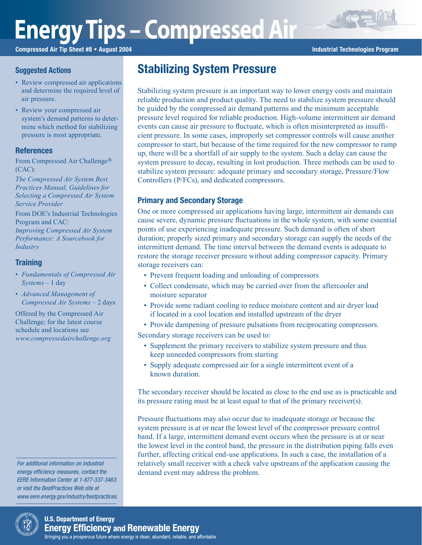# **Energy Tips – Compressed Air**

Compressed Air Tip Sheet #8 • August 2004 **Industrial Technologies Program** Industrial Technologies Program

## Suggested Actions

- Review compressed air applications and determine the required level of air pressure.
- Review your compressed air system's demand patterns to determine which method for stabilizing pressure is most appropriate.

## **References**

From Compressed Air Challenge® (CAC):

*The Compressed Air System Best Practices Manual, Guidelines for Selecting a Compressed Air System Service Provider*

From DOE's Industrial Technologies Program and CAC: *Improving Compressed Air System Performance: A Sourcebook for Industry*

## **Training**

- *Fundamentals of Compressed Air Systems* – 1 day
- *Advanced Management of Compressed Air Systems* – 2 days

Offered by the Compressed Air Challenge; for the latest course schedule and locations see *www.compressedairchallenge.org*

For additional information on industrial energy efficiency measures, contact the EERE Information Center at 1-877-337-3463 or visit the BestPractices Web site at www.eere.energy.gov/industry/bestpractices.



Stabilizing system pressure is an important way to lower energy costs and maintain reliable production and product quality. The need to stabilize system pressure should be guided by the compressed air demand patterns and the minimum acceptable pressure level required for reliable production. High-volume intermittent air demand events can cause air pressure to fluctuate, which is often misinterpreted as insufficient pressure. In some cases, improperly set compressor controls will cause another compressor to start, but because of the time required for the new compressor to ramp up, there will be a shortfall of air supply to the system. Such a delay can cause the system pressure to decay, resulting in lost production. Three methods can be used to stabilize system pressure: adequate primary and secondary storage, Pressure/Flow Controllers (P/FCs), and dedicated compressors.

# Primary and Secondary Storage

One or more compressed air applications having large, intermittent air demands can cause severe, dynamic pressure fluctuations in the whole system, with some essential points of use experiencing inadequate pressure. Such demand is often of short duration; properly sized primary and secondary storage can supply the needs of the intermittent demand. The time interval between the demand events is adequate to restore the storage receiver pressure without adding compressor capacity. Primary storage receivers can:

- Prevent frequent loading and unloading of compressors
- Collect condensate, which may be carried over from the aftercooler and moisture separator
- Provide some radiant cooling to reduce moisture content and air dryer load if located in a cool location and installed upstream of the dryer
- Provide dampening of pressure pulsations from reciprocating compressors.

Secondary storage receivers can be used to:

- Supplement the primary receivers to stabilize system pressure and thus keep unneeded compressors from starting
- Supply adequate compressed air for a single intermittent event of a known duration.

The secondary receiver should be located as close to the end use as is practicable and its pressure rating must be at least equal to that of the primary receiver(s).

Pressure fluctuations may also occur due to inadequate storage or because the system pressure is at or near the lowest level of the compressor pressure control band. If a large, intermittent demand event occurs when the pressure is at or near the lowest level in the control band, the pressure in the distribution piping falls even further, affecting critical end-use applications. In such a case, the installation of a relatively small receiver with a check valve upstream of the application causing the demand event may address the problem.